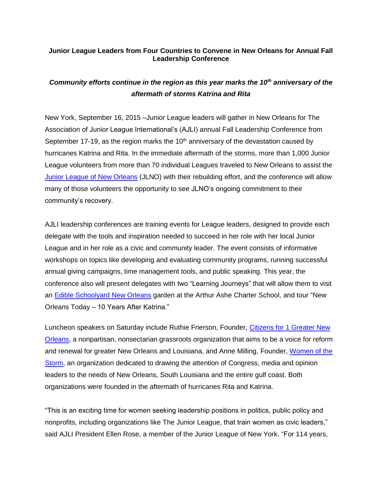## **Junior League Leaders from Four Countries to Convene in New Orleans for Annual Fall Leadership Conference**

## *Community efforts continue in the region as this year marks the 10th anniversary of the aftermath of storms Katrina and Rita*

New York, September 16, 2015 –Junior League leaders will gather in New Orleans for The Association of Junior League International's (AJLI) annual Fall Leadership Conference from September 17-19, as the region marks the  $10<sup>th</sup>$  anniversary of the devastation caused by hurricanes Katrina and Rita. In the immediate aftermath of the storms, more than 1,000 Junior League volunteers from more than 70 individual Leagues traveled to New Orleans to assist the [Junior League of New Orleans](https://www.jlno.org/) (JLNO) with their rebuilding effort, and the conference will allow many of those volunteers the opportunity to see JLNO's ongoing commitment to their community's recovery.

AJLI leadership conferences are training events for League leaders, designed to provide each delegate with the tools and inspiration needed to succeed in her role with her local Junior League and in her role as a civic and community leader. The event consists of informative workshops on topics like developing and evaluating community programs, running successful annual giving campaigns, time management tools, and public speaking. This year, the conference also will present delegates with two "Learning Journeys" that will allow them to visit an [Edible Schoolyard New Orleans](http://www.esynola.org/our-kitchens-what-s-cookin.html) garden at the Arthur Ashe Charter School, and tour "New Orleans Today – 10 Years After Katrina."

Luncheon speakers on Saturday include Ruthie Frierson, Founder, Citizens for 1 Greater New [Orleans,](http://www.citizensfor1.com/about-us.html) a nonpartisan, nonsectarian grassroots organization that aims to be a voice for reform and renewal for greater New Orleans and Louisiana, and Anne Milling, Founder, [Women of the](http://www.womenofthestorm.net/)  [Storm,](http://www.womenofthestorm.net/) an organization dedicated to drawing the attention of Congress, media and opinion leaders to the needs of New Orleans, South Louisiana and the entire gulf coast. Both organizations were founded in the aftermath of hurricanes Rita and Katrina.

"This is an exciting time for women seeking leadership positions in politics, public policy and nonprofits, including organizations like The Junior League, that train women as civic leaders," said AJLI President Ellen Rose, a member of the Junior League of New York. "For 114 years,